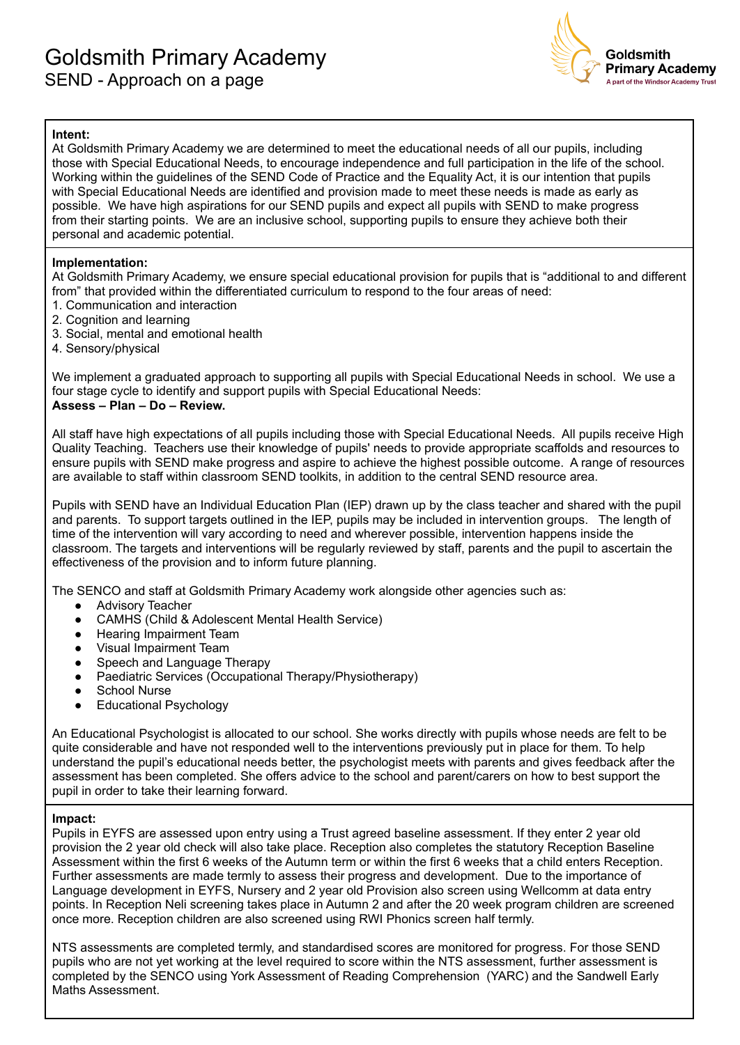

## **Intent:**

At Goldsmith Primary Academy we are determined to meet the educational needs of all our pupils, including those with Special Educational Needs, to encourage independence and full participation in the life of the school. Working within the guidelines of the SEND Code of Practice and the Equality Act, it is our intention that pupils with Special Educational Needs are identified and provision made to meet these needs is made as early as possible. We have high aspirations for our SEND pupils and expect all pupils with SEND to make progress from their starting points. We are an inclusive school, supporting pupils to ensure they achieve both their personal and academic potential.

### **Implementation:**

At Goldsmith Primary Academy, we ensure special educational provision for pupils that is "additional to and different from" that provided within the differentiated curriculum to respond to the four areas of need:

- 1. Communication and interaction
- 2. Cognition and learning
- 3. Social, mental and emotional health
- 4. Sensory/physical

We implement a graduated approach to supporting all pupils with Special Educational Needs in school. We use a four stage cycle to identify and support pupils with Special Educational Needs: **Assess – Plan – Do – Review.**

All staff have high expectations of all pupils including those with Special Educational Needs. All pupils receive High Quality Teaching. Teachers use their knowledge of pupils' needs to provide appropriate scaffolds and resources to ensure pupils with SEND make progress and aspire to achieve the highest possible outcome. A range of resources are available to staff within classroom SEND toolkits, in addition to the central SEND resource area.

Pupils with SEND have an Individual Education Plan (IEP) drawn up by the class teacher and shared with the pupil and parents. To support targets outlined in the IEP, pupils may be included in intervention groups. The length of time of the intervention will vary according to need and wherever possible, intervention happens inside the classroom. The targets and interventions will be regularly reviewed by staff, parents and the pupil to ascertain the effectiveness of the provision and to inform future planning.

The SENCO and staff at Goldsmith Primary Academy work alongside other agencies such as:

- Advisory Teacher
- CAMHS (Child & Adolescent Mental Health Service)
- Hearing Impairment Team
- Visual Impairment Team
- Speech and Language Therapy
- Paediatric Services (Occupational Therapy/Physiotherapy)
- **School Nurse**
- **Educational Psychology**

An Educational Psychologist is allocated to our school. She works directly with pupils whose needs are felt to be quite considerable and have not responded well to the interventions previously put in place for them. To help understand the pupil's educational needs better, the psychologist meets with parents and gives feedback after the assessment has been completed. She offers advice to the school and parent/carers on how to best support the pupil in order to take their learning forward.

### **Impact:**

Pupils in EYFS are assessed upon entry using a Trust agreed baseline assessment. If they enter 2 year old provision the 2 year old check will also take place. Reception also completes the statutory Reception Baseline Assessment within the first 6 weeks of the Autumn term or within the first 6 weeks that a child enters Reception. Further assessments are made termly to assess their progress and development. Due to the importance of Language development in EYFS, Nursery and 2 year old Provision also screen using Wellcomm at data entry points. In Reception Neli screening takes place in Autumn 2 and after the 20 week program children are screened once more. Reception children are also screened using RWI Phonics screen half termly.

NTS assessments are completed termly, and standardised scores are monitored for progress. For those SEND pupils who are not yet working at the level required to score within the NTS assessment, further assessment is completed by the SENCO using York Assessment of Reading Comprehension (YARC) and the Sandwell Early Maths Assessment.